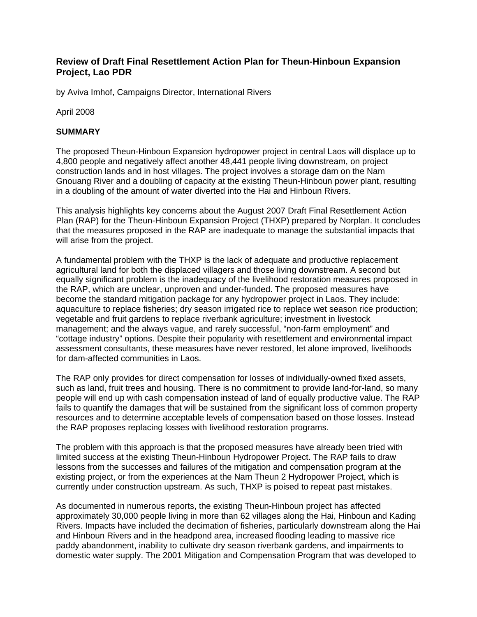## **Review of Draft Final Resettlement Action Plan for Theun-Hinboun Expansion Project, Lao PDR**

by Aviva Imhof, Campaigns Director, International Rivers

April 2008

#### **SUMMARY**

The proposed Theun-Hinboun Expansion hydropower project in central Laos will displace up to 4,800 people and negatively affect another 48,441 people living downstream, on project construction lands and in host villages. The project involves a storage dam on the Nam Gnouang River and a doubling of capacity at the existing Theun-Hinboun power plant, resulting in a doubling of the amount of water diverted into the Hai and Hinboun Rivers.

This analysis highlights key concerns about the August 2007 Draft Final Resettlement Action Plan (RAP) for the Theun-Hinboun Expansion Project (THXP) prepared by Norplan. It concludes that the measures proposed in the RAP are inadequate to manage the substantial impacts that will arise from the project.

A fundamental problem with the THXP is the lack of adequate and productive replacement agricultural land for both the displaced villagers and those living downstream. A second but equally significant problem is the inadequacy of the livelihood restoration measures proposed in the RAP, which are unclear, unproven and under-funded. The proposed measures have become the standard mitigation package for any hydropower project in Laos. They include: aquaculture to replace fisheries; dry season irrigated rice to replace wet season rice production; vegetable and fruit gardens to replace riverbank agriculture; investment in livestock management; and the always vague, and rarely successful, "non-farm employment" and "cottage industry" options. Despite their popularity with resettlement and environmental impact assessment consultants, these measures have never restored, let alone improved, livelihoods for dam-affected communities in Laos.

The RAP only provides for direct compensation for losses of individually-owned fixed assets, such as land, fruit trees and housing. There is no commitment to provide land-for-land, so many people will end up with cash compensation instead of land of equally productive value. The RAP fails to quantify the damages that will be sustained from the significant loss of common property resources and to determine acceptable levels of compensation based on those losses. Instead the RAP proposes replacing losses with livelihood restoration programs.

The problem with this approach is that the proposed measures have already been tried with limited success at the existing Theun-Hinboun Hydropower Project. The RAP fails to draw lessons from the successes and failures of the mitigation and compensation program at the existing project, or from the experiences at the Nam Theun 2 Hydropower Project, which is currently under construction upstream. As such, THXP is poised to repeat past mistakes.

As documented in numerous reports, the existing Theun-Hinboun project has affected approximately 30,000 people living in more than 62 villages along the Hai, Hinboun and Kading Rivers. Impacts have included the decimation of fisheries, particularly downstream along the Hai and Hinboun Rivers and in the headpond area, increased flooding leading to massive rice paddy abandonment, inability to cultivate dry season riverbank gardens, and impairments to domestic water supply. The 2001 Mitigation and Compensation Program that was developed to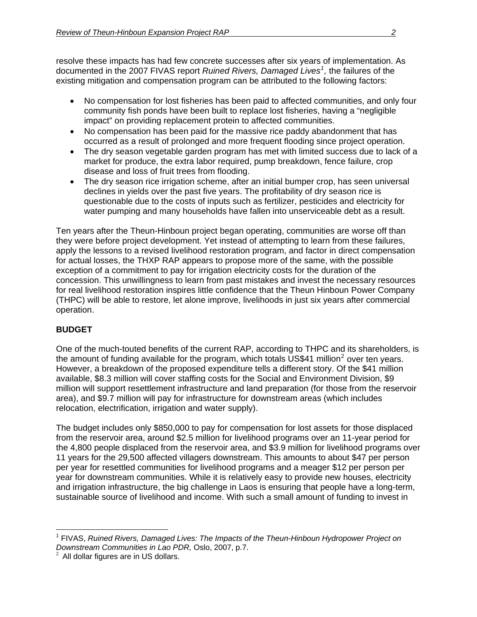resolve these impacts has had few concrete successes after six years of implementation. As documented in the 2007 FIVAS report *Ruined Rivers, Damaged Lives[1](#page-1-0) ,* the failures of the existing mitigation and compensation program can be attributed to the following factors:

- No compensation for lost fisheries has been paid to affected communities, and only four community fish ponds have been built to replace lost fisheries, having a "negligible impact" on providing replacement protein to affected communities.
- No compensation has been paid for the massive rice paddy abandonment that has occurred as a result of prolonged and more frequent flooding since project operation.
- The dry season vegetable garden program has met with limited success due to lack of a market for produce, the extra labor required, pump breakdown, fence failure, crop disease and loss of fruit trees from flooding.
- The dry season rice irrigation scheme, after an initial bumper crop, has seen universal declines in yields over the past five years. The profitability of dry season rice is questionable due to the costs of inputs such as fertilizer, pesticides and electricity for water pumping and many households have fallen into unserviceable debt as a result.

Ten years after the Theun-Hinboun project began operating, communities are worse off than they were before project development. Yet instead of attempting to learn from these failures, apply the lessons to a revised livelihood restoration program, and factor in direct compensation for actual losses, the THXP RAP appears to propose more of the same, with the possible exception of a commitment to pay for irrigation electricity costs for the duration of the concession. This unwillingness to learn from past mistakes and invest the necessary resources for real livelihood restoration inspires little confidence that the Theun Hinboun Power Company (THPC) will be able to restore, let alone improve, livelihoods in just six years after commercial operation.

# **BUDGET**

One of the much-touted benefits of the current RAP, according to THPC and its shareholders, is the amount of funding available for the program, which totals US\$41 million<sup>[2](#page-1-1)</sup> over ten years. However, a breakdown of the proposed expenditure tells a different story. Of the \$41 million available, \$8.3 million will cover staffing costs for the Social and Environment Division, \$9 million will support resettlement infrastructure and land preparation (for those from the reservoir area), and \$9.7 million will pay for infrastructure for downstream areas (which includes relocation, electrification, irrigation and water supply).

The budget includes only \$850,000 to pay for compensation for lost assets for those displaced from the reservoir area, around \$2.5 million for livelihood programs over an 11-year period for the 4,800 people displaced from the reservoir area, and \$3.9 million for livelihood programs over 11 years for the 29,500 affected villagers downstream. This amounts to about \$47 per person per year for resettled communities for livelihood programs and a meager \$12 per person per year for downstream communities. While it is relatively easy to provide new houses, electricity and irrigation infrastructure, the big challenge in Laos is ensuring that people have a long-term, sustainable source of livelihood and income. With such a small amount of funding to invest in

<span id="page-1-0"></span> $\overline{a}$ <sup>1</sup> FIVAS, *Ruined Rivers, Damaged Lives: The Impacts of the Theun-Hinboun Hydropower Project on Downstream Communities in Lao PDR, Oslo, 2007, p.7.* 

<span id="page-1-1"></span> $2$  All dollar figures are in US dollars.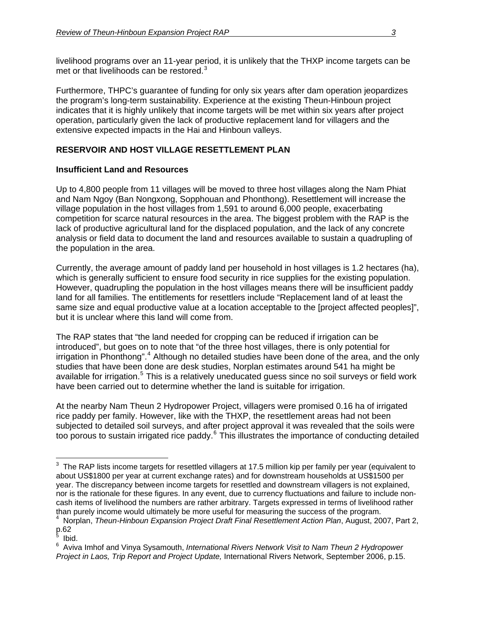livelihood programs over an 11-year period, it is unlikely that the THXP income targets can be met or that livelihoods can be restored. $3$ 

Furthermore, THPC's guarantee of funding for only six years after dam operation jeopardizes the program's long-term sustainability. Experience at the existing Theun-Hinboun project indicates that it is highly unlikely that income targets will be met within six years after project operation, particularly given the lack of productive replacement land for villagers and the extensive expected impacts in the Hai and Hinboun valleys.

# **RESERVOIR AND HOST VILLAGE RESETTLEMENT PLAN**

# **Insufficient Land and Resources**

Up to 4,800 people from 11 villages will be moved to three host villages along the Nam Phiat and Nam Ngoy (Ban Nongxong, Sopphouan and Phonthong). Resettlement will increase the village population in the host villages from 1,591 to around 6,000 people, exacerbating competition for scarce natural resources in the area. The biggest problem with the RAP is the lack of productive agricultural land for the displaced population, and the lack of any concrete analysis or field data to document the land and resources available to sustain a quadrupling of the population in the area.

Currently, the average amount of paddy land per household in host villages is 1.2 hectares (ha), which is generally sufficient to ensure food security in rice supplies for the existing population. However, quadrupling the population in the host villages means there will be insufficient paddy land for all families. The entitlements for resettlers include "Replacement land of at least the same size and equal productive value at a location acceptable to the [project affected peoples]", but it is unclear where this land will come from.

The RAP states that "the land needed for cropping can be reduced if irrigation can be introduced", but goes on to note that "of the three host villages, there is only potential for irrigation in Phonthong".<sup>[4](#page-2-1)</sup> Although no detailed studies have been done of the area, and the only studies that have been done are desk studies, Norplan estimates around 541 ha might be available for irrigation.<sup>[5](#page-2-2)</sup> This is a relatively uneducated guess since no soil surveys or field work have been carried out to determine whether the land is suitable for irrigation.

At the nearby Nam Theun 2 Hydropower Project, villagers were promised 0.16 ha of irrigated rice paddy per family. However, like with the THXP, the resettlement areas had not been subjected to detailed soil surveys, and after project approval it was revealed that the soils were too porous to sustain irrigated rice paddy.<sup>[6](#page-2-3)</sup> This illustrates the importance of conducting detailed

 $\overline{a}$ 

<span id="page-2-0"></span> $3$  The RAP lists income targets for resettled villagers at 17.5 million kip per family per year (equivalent to about US\$1800 per year at current exchange rates) and for downstream households at US\$1500 per year. The discrepancy between income targets for resettled and downstream villagers is not explained, nor is the rationale for these figures. In any event, due to currency fluctuations and failure to include noncash items of livelihood the numbers are rather arbitrary. Targets expressed in terms of livelihood rather than purely income would ultimately be more useful for measuring the success of the program. 4

<span id="page-2-1"></span>Norplan, *Theun-Hinboun Expansion Project Draft Final Resettlement Action Plan*, August, 2007, Part 2, ք.62<br><sup>5</sup> հեն

<span id="page-2-2"></span>Ibid.

<span id="page-2-3"></span><sup>6</sup> Aviva Imhof and Vinya Sysamouth, *International Rivers Network Visit to Nam Theun 2 Hydropower Project in Laos, Trip Report and Project Update,* International Rivers Network, September 2006, p.15.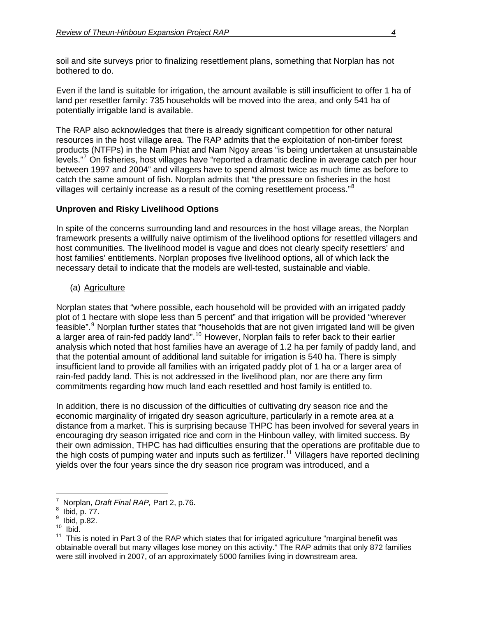soil and site surveys prior to finalizing resettlement plans, something that Norplan has not bothered to do.

Even if the land is suitable for irrigation, the amount available is still insufficient to offer 1 ha of land per resettler family: 735 households will be moved into the area, and only 541 ha of potentially irrigable land is available.

The RAP also acknowledges that there is already significant competition for other natural resources in the host village area. The RAP admits that the exploitation of non-timber forest products (NTFPs) in the Nam Phiat and Nam Ngoy areas "is being undertaken at unsustainable levels."<sup>[7](#page-3-0)</sup> On fisheries, host villages have "reported a dramatic decline in average catch per hour between 1997 and 2004" and villagers have to spend almost twice as much time as before to catch the same amount of fish. Norplan admits that "the pressure on fisheries in the host villages will certainly increase as a result of the coming resettlement process." $8$ 

# **Unproven and Risky Livelihood Options**

In spite of the concerns surrounding land and resources in the host village areas, the Norplan framework presents a willfully naive optimism of the livelihood options for resettled villagers and host communities. The livelihood model is vague and does not clearly specify resettlers' and host families' entitlements. Norplan proposes five livelihood options, all of which lack the necessary detail to indicate that the models are well-tested, sustainable and viable.

(a) Agriculture

Norplan states that "where possible, each household will be provided with an irrigated paddy plot of 1 hectare with slope less than 5 percent" and that irrigation will be provided "wherever feasible".<sup>[9](#page-3-2)</sup> Norplan further states that "households that are not given irrigated land will be given a larger area of rain-fed paddy land".<sup>[10](#page-3-3)</sup> However, Norplan fails to refer back to their earlier analysis which noted that host families have an average of 1.2 ha per family of paddy land, and that the potential amount of additional land suitable for irrigation is 540 ha. There is simply insufficient land to provide all families with an irrigated paddy plot of 1 ha or a larger area of rain-fed paddy land. This is not addressed in the livelihood plan, nor are there any firm commitments regarding how much land each resettled and host family is entitled to.

In addition, there is no discussion of the difficulties of cultivating dry season rice and the economic marginality of irrigated dry season agriculture, particularly in a remote area at a distance from a market. This is surprising because THPC has been involved for several years in encouraging dry season irrigated rice and corn in the Hinboun valley, with limited success. By their own admission, THPC has had difficulties ensuring that the operations are profitable due to the high costs of pumping water and inputs such as fertilizer.<sup>[11](#page-3-4)</sup> Villagers have reported declining yields over the four years since the dry season rice program was introduced, and a

<span id="page-3-0"></span> $\overline{a}$ 7  $\frac{7}{8}$  Norplan, *Draft Final RAP*, Part 2, p.76.

Ibid, p. 77.

<span id="page-3-2"></span><span id="page-3-1"></span><sup>9</sup>  $\frac{9}{10}$  Ibid, p.82.

Ibid.

<span id="page-3-4"></span><span id="page-3-3"></span> $11$  This is noted in Part 3 of the RAP which states that for irrigated agriculture "marginal benefit was obtainable overall but many villages lose money on this activity." The RAP admits that only 872 families were still involved in 2007, of an approximately 5000 families living in downstream area.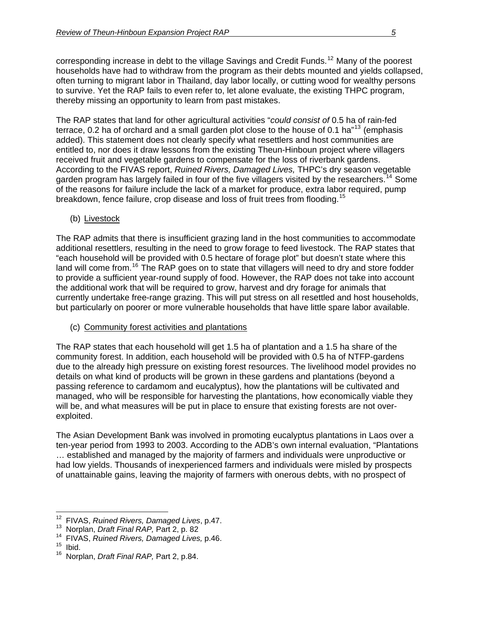corresponding increase in debt to the village Savings and Credit Funds.<sup>[12](#page-4-0)</sup> Many of the poorest households have had to withdraw from the program as their debts mounted and yields collapsed, often turning to migrant labor in Thailand, day labor locally, or cutting wood for wealthy persons to survive. Yet the RAP fails to even refer to, let alone evaluate, the existing THPC program, thereby missing an opportunity to learn from past mistakes.

The RAP states that land for other agricultural activities "*could consist of* 0.5 ha of rain-fed terrace, 0.2 ha of orchard and a small garden plot close to the house of 0.1 ha<sup>"[13](#page-4-1)</sup> (emphasis added). This statement does not clearly specify what resettlers and host communities are entitled to, nor does it draw lessons from the existing Theun-Hinboun project where villagers received fruit and vegetable gardens to compensate for the loss of riverbank gardens. According to the FIVAS report, *Ruined Rivers, Damaged Lives,* THPC's dry season vegetable garden program has largely failed in four of the five villagers visited by the researchers.<sup>[14](#page-4-2)</sup> Some of the reasons for failure include the lack of a market for produce, extra labor required, pump breakdown, fence failure, crop disease and loss of fruit trees from flooding.<sup>[15](#page-4-3)</sup>

(b) Livestock

The RAP admits that there is insufficient grazing land in the host communities to accommodate additional resettlers, resulting in the need to grow forage to feed livestock. The RAP states that "each household will be provided with 0.5 hectare of forage plot" but doesn't state where this land will come from.<sup>[16](#page-4-4)</sup> The RAP goes on to state that villagers will need to dry and store fodder to provide a sufficient year-round supply of food. However, the RAP does not take into account the additional work that will be required to grow, harvest and dry forage for animals that currently undertake free-range grazing. This will put stress on all resettled and host households, but particularly on poorer or more vulnerable households that have little spare labor available.

(c) Community forest activities and plantations

The RAP states that each household will get 1.5 ha of plantation and a 1.5 ha share of the community forest. In addition, each household will be provided with 0.5 ha of NTFP-gardens due to the already high pressure on existing forest resources. The livelihood model provides no details on what kind of products will be grown in these gardens and plantations (beyond a passing reference to cardamom and eucalyptus), how the plantations will be cultivated and managed, who will be responsible for harvesting the plantations, how economically viable they will be, and what measures will be put in place to ensure that existing forests are not overexploited.

The Asian Development Bank was involved in promoting eucalyptus plantations in Laos over a ten-year period from 1993 to 2003. According to the ADB's own internal evaluation, "Plantations … established and managed by the majority of farmers and individuals were unproductive or had low yields. Thousands of inexperienced farmers and individuals were misled by prospects of unattainable gains, leaving the majority of farmers with onerous debts, with no prospect of

<span id="page-4-4"></span><span id="page-4-3"></span>

<sup>&</sup>lt;sup>12</sup> FIVAS, Ruined Rivers, Damaged Lives, p.47.

<span id="page-4-2"></span><span id="page-4-1"></span><span id="page-4-0"></span><sup>&</sup>lt;sup>13</sup> Norplan, *Draft Final RAP, Part 2, p. 82*<br><sup>14</sup> FIVAS, *Ruined Rivers, Damaged Lives, p.* 46.<br><sup>15</sup> Norplan, *Draft Final PAP*, Part 2, p. 84.

<sup>16</sup> Norplan, *Draft Final RAP,* Part 2, p.84.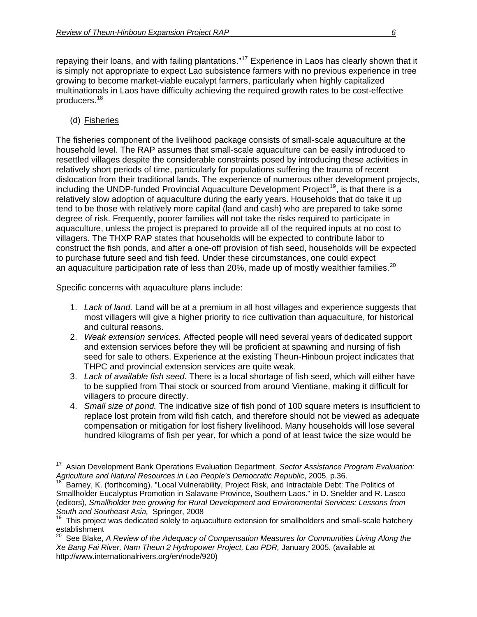repaying their loans, and with failing plantations."<sup>[17](#page-5-0)</sup> Experience in Laos has clearly shown that it is simply not appropriate to expect Lao subsistence farmers with no previous experience in tree growing to become market-viable eucalypt farmers, particularly when highly capitalized multinationals in Laos have difficulty achieving the required growth rates to be cost-effective producers.[18](#page-5-1)

## (d) Fisheries

The fisheries component of the livelihood package consists of small-scale aquaculture at the household level. The RAP assumes that small-scale aquaculture can be easily introduced to resettled villages despite the considerable constraints posed by introducing these activities in relatively short periods of time, particularly for populations suffering the trauma of recent dislocation from their traditional lands. The experience of numerous other development projects, including the UNDP-funded Provincial Aquaculture Development Project<sup>[19](#page-5-2)</sup>, is that there is a relatively slow adoption of aquaculture during the early years. Households that do take it up tend to be those with relatively more capital (land and cash) who are prepared to take some degree of risk. Frequently, poorer families will not take the risks required to participate in aquaculture, unless the project is prepared to provide all of the required inputs at no cost to villagers. The THXP RAP states that households will be expected to contribute labor to construct the fish ponds, and after a one-off provision of fish seed, households will be expected to purchase future seed and fish feed. Under these circumstances, one could expect an aquaculture participation rate of less than [20](#page-5-3)%, made up of mostly wealthier families.<sup>20</sup>

Specific concerns with aquaculture plans include:

- 1. *Lack of land.* Land will be at a premium in all host villages and experience suggests that most villagers will give a higher priority to rice cultivation than aquaculture, for historical and cultural reasons.
- 2. *Weak extension services.* Affected people will need several years of dedicated support and extension services before they will be proficient at spawning and nursing of fish seed for sale to others. Experience at the existing Theun-Hinboun project indicates that THPC and provincial extension services are quite weak.
- 3. *Lack of available fish seed.* There is a local shortage of fish seed, which will either have to be supplied from Thai stock or sourced from around Vientiane, making it difficult for villagers to procure directly.
- 4. *Small size of pond.* The indicative size of fish pond of 100 square meters is insufficient to replace lost protein from wild fish catch, and therefore should not be viewed as adequate compensation or mitigation for lost fishery livelihood. Many households will lose several hundred kilograms of fish per year, for which a pond of at least twice the size would be

<span id="page-5-0"></span> $\overline{a}$ <sup>17</sup> Asian Development Bank Operations Evaluation Department, *Sector Assistance Program Evaluation:*<br>Agriculture and Natural Resources in Lao People's Democratic Republic, 2005, p.36.

<span id="page-5-1"></span>*Agriculture and Natural Resources in Lao People's Democratic Republic*, 2005, p.36. 18 Barney, K. (forthcoming). "Local Vulnerability, Project Risk, and Intractable Debt: The Politics of Smallholder Eucalyptus Promotion in Salavane Province, Southern Laos." in D. Snelder and R. Lasco (editors), *Smallholder tree growing for Rural Development and Environmental Services: Lessons from* 

<span id="page-5-2"></span>This project was dedicated solely to aquaculture extension for smallholders and small-scale hatchery establishment

<span id="page-5-3"></span><sup>&</sup>lt;sup>20</sup> See Blake, A Review of the Adequacy of Compensation Measures for Communities Living Along the *Xe Bang Fai River, Nam Theun 2 Hydropower Project, Lao PDR,* January 2005. (available at http://www.internationalrivers.org/en/node/920)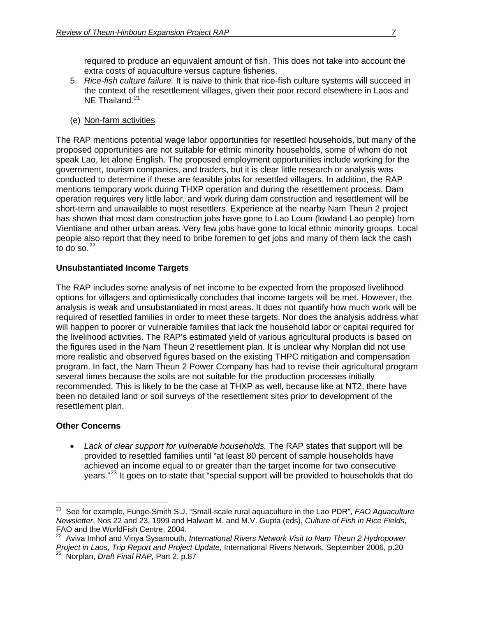required to produce an equivalent amount of fish. This does not take into account the extra costs of aquaculture versus capture fisheries.

- 5. *Rice-fish culture failure.* It is naive to think that rice-fish culture systems will succeed in the context of the resettlement villages, given their poor record elsewhere in Laos and NE Thailand.<sup>[21](#page-6-0)</sup>
- (e) Non-farm activities

The RAP mentions potential wage labor opportunities for resettled households, but many of the proposed opportunities are not suitable for ethnic minority households, some of whom do not speak Lao, let alone English. The proposed employment opportunities include working for the government, tourism companies, and traders, but it is clear little research or analysis was conducted to determine if these are feasible jobs for resettled villagers. In addition, the RAP mentions temporary work during THXP operation and during the resettlement process. Dam operation requires very little labor, and work during dam construction and resettlement will be short-term and unavailable to most resettlers. Experience at the nearby Nam Theun 2 project has shown that most dam construction jobs have gone to Lao Loum (lowland Lao people) from Vientiane and other urban areas. Very few jobs have gone to local ethnic minority groups. Local people also report that they need to bribe foremen to get jobs and many of them lack the cash to do so. $^{22}$  $^{22}$  $^{22}$ 

### **Unsubstantiated Income Targets**

The RAP includes some analysis of net income to be expected from the proposed livelihood options for villagers and optimistically concludes that income targets will be met. However, the analysis is weak and unsubstantiated in most areas. It does not quantify how much work will be required of resettled families in order to meet these targets. Nor does the analysis address what will happen to poorer or vulnerable families that lack the household labor or capital required for the livelihood activities. The RAP's estimated yield of various agricultural products is based on the figures used in the Nam Theun 2 resettlement plan. It is unclear why Norplan did not use more realistic and observed figures based on the existing THPC mitigation and compensation program. In fact, the Nam Theun 2 Power Company has had to revise their agricultural program several times because the soils are not suitable for the production processes initially recommended. This is likely to be the case at THXP as well, because like at NT2, there have been no detailed land or soil surveys of the resettlement sites prior to development of the resettlement plan.

#### **Other Concerns**

 $\overline{a}$ 

• Lack of clear support for vulnerable households. The RAP states that support will be provided to resettled families until "at least 80 percent of sample households have achieved an income equal to or greater than the target income for two consecutive years."[23](#page-6-2) It goes on to state that "special support will be provided to households that do

<span id="page-6-0"></span><sup>21</sup> See for example, Funge-Smith S.J, "Small-scale rural aquaculture in the Lao PDR", *FAO Aquaculture Newsletter*, Nos 22 and 23, 1999 and Halwart M. and M.V. Gupta (eds), *Culture of Fish in Rice Fields*, FAO and the WorldFish Centre, 2004.

<span id="page-6-2"></span><span id="page-6-1"></span><sup>22</sup> Aviva Imhof and Vinya Sysamouth, *International Rivers Network Visit to Nam Theun 2 Hydropower Project in Laos, Trip Report and Project Update,* International Rivers Network, September 2006, p.20 23 Norplan, *Draft Final RAP,* Part 2, p.87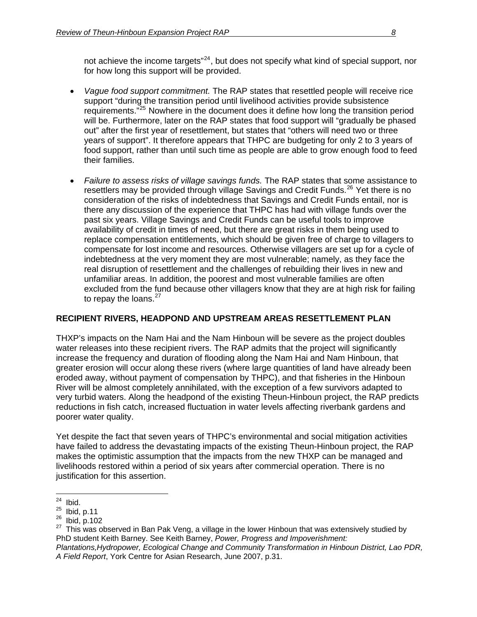not achieve the income targets"<sup>24</sup>, but does not specify what kind of special support, nor for how long this support will be provided.

- *Vague food support commitment.* The RAP states that resettled people will receive rice support "during the transition period until livelihood activities provide subsistence requirements."[25](#page-7-0) Nowhere in the document does it define how long the transition period will be. Furthermore, later on the RAP states that food support will "gradually be phased out" after the first year of resettlement, but states that "others will need two or three years of support". It therefore appears that THPC are budgeting for only 2 to 3 years of food support, rather than until such time as people are able to grow enough food to feed their families.
- *Failure to assess risks of village savings funds.* The RAP states that some assistance to resettlers may be provided through village Savings and Credit Funds.<sup>[26](#page-7-1)</sup> Yet there is no consideration of the risks of indebtedness that Savings and Credit Funds entail, nor is there any discussion of the experience that THPC has had with village funds over the past six years. Village Savings and Credit Funds can be useful tools to improve availability of credit in times of need, but there are great risks in them being used to replace compensation entitlements, which should be given free of charge to villagers to compensate for lost income and resources. Otherwise villagers are set up for a cycle of indebtedness at the very moment they are most vulnerable; namely, as they face the real disruption of resettlement and the challenges of rebuilding their lives in new and unfamiliar areas. In addition, the poorest and most vulnerable families are often excluded from the fund because other villagers know that they are at high risk for failing to repay the loans. $27$

# **RECIPIENT RIVERS, HEADPOND AND UPSTREAM AREAS RESETTLEMENT PLAN**

THXP's impacts on the Nam Hai and the Nam Hinboun will be severe as the project doubles water releases into these recipient rivers. The RAP admits that the project will significantly increase the frequency and duration of flooding along the Nam Hai and Nam Hinboun, that greater erosion will occur along these rivers (where large quantities of land have already been eroded away, without payment of compensation by THPC), and that fisheries in the Hinboun River will be almost completely annihilated, with the exception of a few survivors adapted to very turbid waters. Along the headpond of the existing Theun-Hinboun project, the RAP predicts reductions in fish catch, increased fluctuation in water levels affecting riverbank gardens and poorer water quality.

Yet despite the fact that seven years of THPC's environmental and social mitigation activities have failed to address the devastating impacts of the existing Theun-Hinboun project, the RAP makes the optimistic assumption that the impacts from the new THXP can be managed and livelihoods restored within a period of six years after commercial operation. There is no justification for this assertion.

<sup>24</sup> 

 $\frac{24}{25}$  Ibid.<br> $\frac{25}{100}$  Ibid, p.11

<span id="page-7-2"></span><span id="page-7-1"></span><span id="page-7-0"></span><sup>&</sup>lt;sup>26</sup> Ibid, p.102<br><sup>27</sup> This was observed in Ban Pak Veng, a village in the lower Hinboun that was extensively studied by PhD student Keith Barney. See Keith Barney, *Power, Progress and Impoverishment:* 

*Plantations,Hydropower, Ecological Change and Community Transformation in Hinboun District, Lao PDR, A Field Report*, York Centre for Asian Research, June 2007, p.31.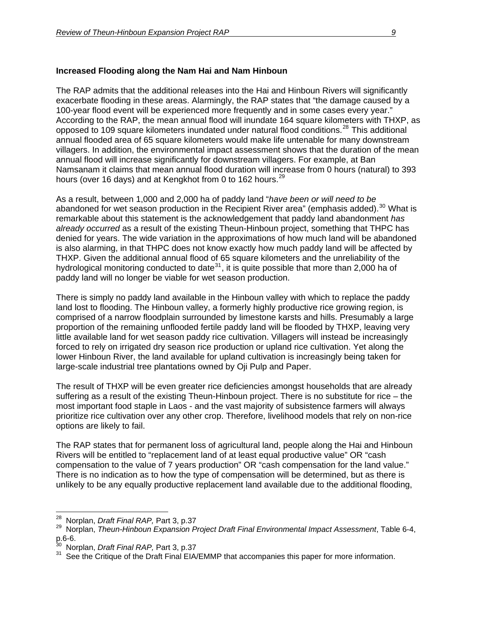### **Increased Flooding along the Nam Hai and Nam Hinboun**

The RAP admits that the additional releases into the Hai and Hinboun Rivers will significantly exacerbate flooding in these areas. Alarmingly, the RAP states that "the damage caused by a 100-year flood event will be experienced more frequently and in some cases every year." According to the RAP, the mean annual flood will inundate 164 square kilometers with THXP, as opposed to 109 square kilometers inundated under natural flood conditions.<sup>[28](#page-8-0)</sup> This additional annual flooded area of 65 square kilometers would make life untenable for many downstream villagers. In addition, the environmental impact assessment shows that the duration of the mean annual flood will increase significantly for downstream villagers. For example, at Ban Namsanam it claims that mean annual flood duration will increase from 0 hours (natural) to 393 hours (over 16 days) and at Kengkhot from 0 to 162 hours.<sup>[29](#page-8-1)</sup>

As a result, between 1,000 and 2,000 ha of paddy land "*have been or will need to be*  abandoned for wet season production in the Recipient River area" (emphasis added).<sup>[30](#page-8-2)</sup> What is remarkable about this statement is the acknowledgement that paddy land abandonment *has already occurred* as a result of the existing Theun-Hinboun project, something that THPC has denied for years. The wide variation in the approximations of how much land will be abandoned is also alarming, in that THPC does not know exactly how much paddy land will be affected by THXP. Given the additional annual flood of 65 square kilometers and the unreliability of the hydrological monitoring conducted to date  $31$ , it is quite possible that more than 2,000 ha of paddy land will no longer be viable for wet season production.

There is simply no paddy land available in the Hinboun valley with which to replace the paddy land lost to flooding. The Hinboun valley, a formerly highly productive rice growing region, is comprised of a narrow floodplain surrounded by limestone karsts and hills. Presumably a large proportion of the remaining unflooded fertile paddy land will be flooded by THXP, leaving very little available land for wet season paddy rice cultivation. Villagers will instead be increasingly forced to rely on irrigated dry season rice production or upland rice cultivation. Yet along the lower Hinboun River, the land available for upland cultivation is increasingly being taken for large-scale industrial tree plantations owned by Oji Pulp and Paper.

The result of THXP will be even greater rice deficiencies amongst households that are already suffering as a result of the existing Theun-Hinboun project. There is no substitute for rice – the most important food staple in Laos - and the vast majority of subsistence farmers will always prioritize rice cultivation over any other crop. Therefore, livelihood models that rely on non-rice options are likely to fail.

The RAP states that for permanent loss of agricultural land, people along the Hai and Hinboun Rivers will be entitled to "replacement land of at least equal productive value" OR "cash compensation to the value of 7 years production" OR "cash compensation for the land value." There is no indication as to how the type of compensation will be determined, but as there is unlikely to be any equally productive replacement land available due to the additional flooding,

<sup>28</sup> 

<span id="page-8-0"></span><sup>&</sup>lt;sup>28</sup> Norplan, *Draft Final RAP,* Part 3, p.37<br><sup>29</sup> Norplan, *Theun-Hinboun Expansion Project Draft Final Environmental Impact Assessment*, Table 6-4,

<span id="page-8-2"></span><span id="page-8-1"></span>p.6-6.<br><sup>30</sup> Norplan, *Draft Final RAP, Part 3, p.37* 

<span id="page-8-3"></span><sup>&</sup>lt;sup>31</sup> See the Critique of the Draft Final EIA/EMMP that accompanies this paper for more information.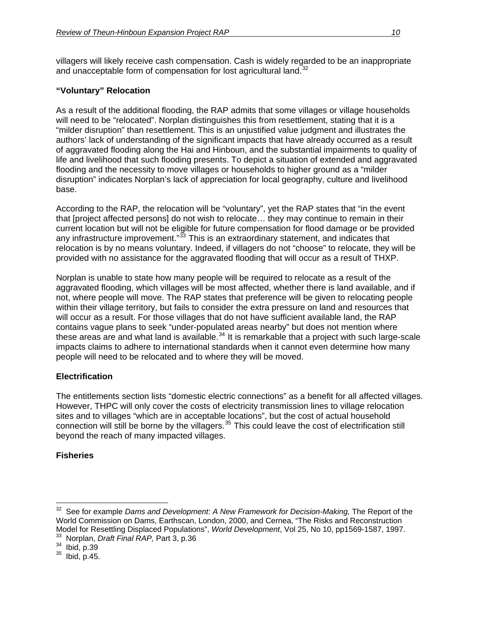villagers will likely receive cash compensation. Cash is widely regarded to be an inappropriate and unacceptable form of compensation for lost agricultural land. $32$ 

## **"Voluntary" Relocation**

As a result of the additional flooding, the RAP admits that some villages or village households will need to be "relocated". Norplan distinguishes this from resettlement, stating that it is a "milder disruption" than resettlement. This is an unjustified value judgment and illustrates the authors' lack of understanding of the significant impacts that have already occurred as a result of aggravated flooding along the Hai and Hinboun, and the substantial impairments to quality of life and livelihood that such flooding presents. To depict a situation of extended and aggravated flooding and the necessity to move villages or households to higher ground as a "milder disruption" indicates Norplan's lack of appreciation for local geography, culture and livelihood base.

According to the RAP, the relocation will be "voluntary", yet the RAP states that "in the event that [project affected persons] do not wish to relocate… they may continue to remain in their current location but will not be eligible for future compensation for flood damage or be provided any infrastructure improvement."<sup>[33](#page-9-1)</sup> This is an extraordinary statement, and indicates that relocation is by no means voluntary. Indeed, if villagers do not "choose" to relocate, they will be provided with no assistance for the aggravated flooding that will occur as a result of THXP.

Norplan is unable to state how many people will be required to relocate as a result of the aggravated flooding, which villages will be most affected, whether there is land available, and if not, where people will move. The RAP states that preference will be given to relocating people within their village territory, but fails to consider the extra pressure on land and resources that will occur as a result. For those villages that do not have sufficient available land, the RAP contains vague plans to seek "under-populated areas nearby" but does not mention where these areas are and what land is available.<sup>[34](#page-9-2)</sup> It is remarkable that a project with such large-scale impacts claims to adhere to international standards when it cannot even determine how many people will need to be relocated and to where they will be moved.

# **Electrification**

The entitlements section lists "domestic electric connections" as a benefit for all affected villages. However, THPC will only cover the costs of electricity transmission lines to village relocation sites and to villages "which are in acceptable locations", but the cost of actual household connection will still be borne by the villagers.<sup>[35](#page-9-3)</sup> This could leave the cost of electrification still beyond the reach of many impacted villages.

# **Fisheries**

 $\overline{a}$ 

<span id="page-9-0"></span><sup>&</sup>lt;sup>32</sup> See for example *Dams and Development: A New Framework for Decision-Making*, The Report of the World Commission on Dams, Earthscan, London, 2000, and Cernea, "The Risks and Reconstruction Model for Resettling Displaced Populations", *World Development*, Vol 25, No 10, pp1569-1587, 1997.<br><sup>33</sup> Norplan, *Draft Final RAP,* Part 3, p.36<br><sup>34</sup> Ibid, p.39<br><sup>35</sup> Ibid, p.45.

<span id="page-9-2"></span><span id="page-9-1"></span>

<span id="page-9-3"></span>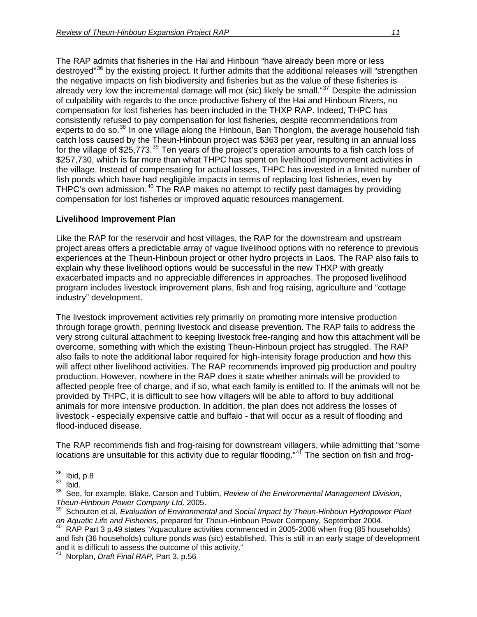The RAP admits that fisheries in the Hai and Hinboun "have already been more or less destroyed"<sup>[36](#page-10-0)</sup> by the existing project. It further admits that the additional releases will "strengthen the negative impacts on fish biodiversity and fisheries but as the value of these fisheries is already very low the incremental damage will mot (sic) likely be small." $37$  Despite the admission of culpability with regards to the once productive fishery of the Hai and Hinboun Rivers, no compensation for lost fisheries has been included in the THXP RAP. Indeed, THPC has consistently refused to pay compensation for lost fisheries, despite recommendations from experts to do so.<sup>[38](#page-10-2)</sup> In one village along the Hinboun, Ban Thonglom, the average household fish catch loss caused by the Theun-Hinboun project was \$363 per year, resulting in an annual loss for the village of \$25,773.<sup>[39](#page-10-3)</sup> Ten years of the project's operation amounts to a fish catch loss of \$257,730, which is far more than what THPC has spent on livelihood improvement activities in the village. Instead of compensating for actual losses, THPC has invested in a limited number of fish ponds which have had negligible impacts in terms of replacing lost fisheries, even by THPC's own admission.<sup>[40](#page-10-4)</sup> The RAP makes no attempt to rectify past damages by providing compensation for lost fisheries or improved aquatic resources management.

### **Livelihood Improvement Plan**

Like the RAP for the reservoir and host villages, the RAP for the downstream and upstream project areas offers a predictable array of vague livelihood options with no reference to previous experiences at the Theun-Hinboun project or other hydro projects in Laos. The RAP also fails to explain why these livelihood options would be successful in the new THXP with greatly exacerbated impacts and no appreciable differences in approaches. The proposed livelihood program includes livestock improvement plans, fish and frog raising, agriculture and "cottage industry" development.

The livestock improvement activities rely primarily on promoting more intensive production through forage growth, penning livestock and disease prevention. The RAP fails to address the very strong cultural attachment to keeping livestock free-ranging and how this attachment will be overcome, something with which the existing Theun-Hinboun project has struggled. The RAP also fails to note the additional labor required for high-intensity forage production and how this will affect other livelihood activities. The RAP recommends improved pig production and poultry production. However, nowhere in the RAP does it state whether animals will be provided to affected people free of charge, and if so, what each family is entitled to. If the animals will not be provided by THPC, it is difficult to see how villagers will be able to afford to buy additional animals for more intensive production. In addition, the plan does not address the losses of livestock - especially expensive cattle and buffalo - that will occur as a result of flooding and flood-induced disease.

The RAP recommends fish and frog-raising for downstream villagers, while admitting that "some locations are unsuitable for this activity due to regular flooding."<sup>47</sup> The section on fish and frog-

<span id="page-10-1"></span><span id="page-10-0"></span><sup>36</sup>  $\frac{36}{37}$  Ibid, p.8

<span id="page-10-2"></span><sup>38</sup> See, for example, Blake, Carson and Tubtim, *Review of the Environmental Management Division, Theun-Hinboun Power Company Ltd,* 2005.

<span id="page-10-3"></span><sup>39</sup> Schouten et al, *Evaluation of Environmental and Social Impact by Theun-Hinboun Hydropower Plant*  on Aquatic Life and Fisheries, prepared for Theun-Hinboun Power Company, September 2004.<br><sup>40</sup> RAP Part 3 p.49 states "Aquaculture activities commenced in 2005-2006 when frog (85 households)

<span id="page-10-4"></span>and fish (36 households) culture ponds was (sic) established. This is still in an early stage of development and it is difficult to assess the outcome of this activity." 41 Norplan, *Draft Final RAP,* Part 3, p.56

<span id="page-10-5"></span>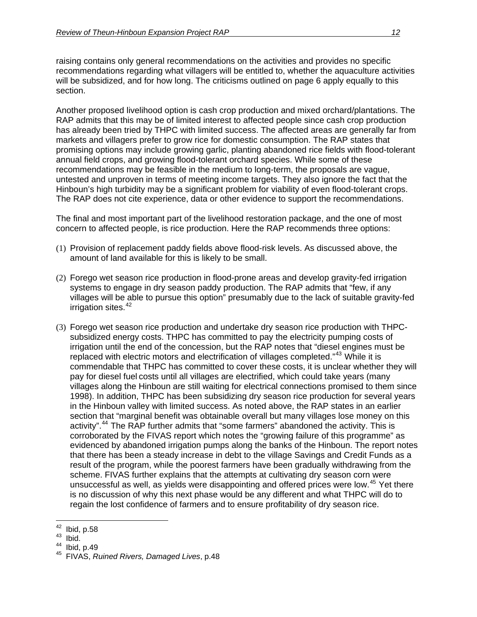raising contains only general recommendations on the activities and provides no specific recommendations regarding what villagers will be entitled to, whether the aquaculture activities will be subsidized, and for how long. The criticisms outlined on page 6 apply equally to this section.

Another proposed livelihood option is cash crop production and mixed orchard/plantations. The RAP admits that this may be of limited interest to affected people since cash crop production has already been tried by THPC with limited success. The affected areas are generally far from markets and villagers prefer to grow rice for domestic consumption. The RAP states that promising options may include growing garlic, planting abandoned rice fields with flood-tolerant annual field crops, and growing flood-tolerant orchard species. While some of these recommendations may be feasible in the medium to long-term, the proposals are vague, untested and unproven in terms of meeting income targets. They also ignore the fact that the Hinboun's high turbidity may be a significant problem for viability of even flood-tolerant crops. The RAP does not cite experience, data or other evidence to support the recommendations.

The final and most important part of the livelihood restoration package, and the one of most concern to affected people, is rice production. Here the RAP recommends three options:

- (1) Provision of replacement paddy fields above flood-risk levels. As discussed above, the amount of land available for this is likely to be small.
- (2) Forego wet season rice production in flood-prone areas and develop gravity-fed irrigation systems to engage in dry season paddy production. The RAP admits that "few, if any villages will be able to pursue this option" presumably due to the lack of suitable gravity-fed irrigation sites.<sup>[42](#page-11-0)</sup>
- (3) Forego wet season rice production and undertake dry season rice production with THPCsubsidized energy costs. THPC has committed to pay the electricity pumping costs of irrigation until the end of the concession, but the RAP notes that "diesel engines must be replaced with electric motors and electrification of villages completed."<sup>[43](#page-11-1)</sup> While it is commendable that THPC has committed to cover these costs, it is unclear whether they will pay for diesel fuel costs until all villages are electrified, which could take years (many villages along the Hinboun are still waiting for electrical connections promised to them since 1998). In addition, THPC has been subsidizing dry season rice production for several years in the Hinboun valley with limited success. As noted above, the RAP states in an earlier section that "marginal benefit was obtainable overall but many villages lose money on this activity".<sup>[44](#page-11-2)</sup> The RAP further admits that "some farmers" abandoned the activity. This is corroborated by the FIVAS report which notes the "growing failure of this programme" as evidenced by abandoned irrigation pumps along the banks of the Hinboun. The report notes that there has been a steady increase in debt to the village Savings and Credit Funds as a result of the program, while the poorest farmers have been gradually withdrawing from the scheme. FIVAS further explains that the attempts at cultivating dry season corn were unsuccessful as well, as yields were disappointing and offered prices were low.<sup>[45](#page-11-3)</sup> Yet there is no discussion of why this next phase would be any different and what THPC will do to regain the lost confidence of farmers and to ensure profitability of dry season rice.

<span id="page-11-1"></span><span id="page-11-0"></span><sup>42</sup>  $\frac{42}{43}$  Ibid, p.58<br> $\frac{43}{44}$  Ibid, p.49

<span id="page-11-3"></span><span id="page-11-2"></span><sup>&</sup>lt;sup>45</sup> FIVAS, *Ruined Rivers, Damaged Lives*, p.48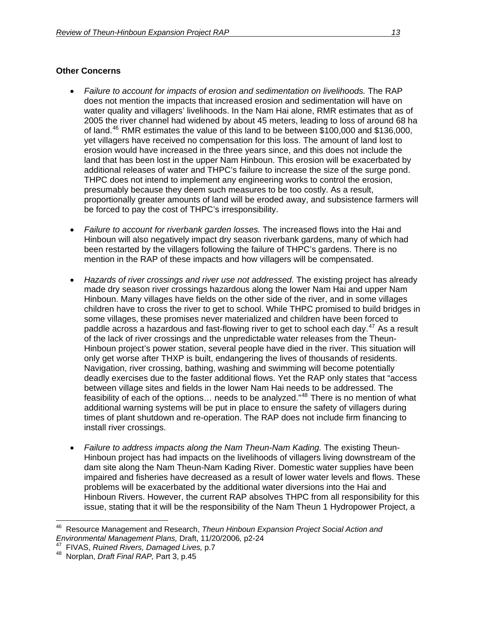## **Other Concerns**

- *Failure to account for impacts of erosion and sedimentation on livelihoods.* The RAP does not mention the impacts that increased erosion and sedimentation will have on water quality and villagers' livelihoods. In the Nam Hai alone, RMR estimates that as of 2005 the river channel had widened by about 45 meters, leading to loss of around 68 ha of land.[46](#page-12-0) RMR estimates the value of this land to be between \$100,000 and \$136,000, yet villagers have received no compensation for this loss. The amount of land lost to erosion would have increased in the three years since, and this does not include the land that has been lost in the upper Nam Hinboun. This erosion will be exacerbated by additional releases of water and THPC's failure to increase the size of the surge pond. THPC does not intend to implement any engineering works to control the erosion, presumably because they deem such measures to be too costly. As a result, proportionally greater amounts of land will be eroded away, and subsistence farmers will be forced to pay the cost of THPC's irresponsibility.
- *Failure to account for riverbank garden losses.* The increased flows into the Hai and Hinboun will also negatively impact dry season riverbank gardens, many of which had been restarted by the villagers following the failure of THPC's gardens. There is no mention in the RAP of these impacts and how villagers will be compensated.
- *Hazards of river crossings and river use not addressed.* The existing project has already made dry season river crossings hazardous along the lower Nam Hai and upper Nam Hinboun. Many villages have fields on the other side of the river, and in some villages children have to cross the river to get to school. While THPC promised to build bridges in some villages, these promises never materialized and children have been forced to paddle across a hazardous and fast-flowing river to get to school each day.<sup>[47](#page-12-1)</sup> As a result of the lack of river crossings and the unpredictable water releases from the Theun-Hinboun project's power station, several people have died in the river. This situation will only get worse after THXP is built, endangering the lives of thousands of residents. Navigation, river crossing, bathing, washing and swimming will become potentially deadly exercises due to the faster additional flows. Yet the RAP only states that "access between village sites and fields in the lower Nam Hai needs to be addressed. The feasibility of each of the options… needs to be analyzed."[48](#page-12-2) There is no mention of what additional warning systems will be put in place to ensure the safety of villagers during times of plant shutdown and re-operation. The RAP does not include firm financing to install river crossings.
- *Failure to address impacts along the Nam Theun-Nam Kading.* The existing Theun-Hinboun project has had impacts on the livelihoods of villagers living downstream of the dam site along the Nam Theun-Nam Kading River. Domestic water supplies have been impaired and fisheries have decreased as a result of lower water levels and flows. These problems will be exacerbated by the additional water diversions into the Hai and Hinboun Rivers. However, the current RAP absolves THPC from all responsibility for this issue, stating that it will be the responsibility of the Nam Theun 1 Hydropower Project, a

 $\overline{a}$ 

<span id="page-12-0"></span><sup>&</sup>lt;sup>46</sup> Resource Management and Research, *Theun Hinboun Expansion Project Social Action and*<br>*Environmental Management Plans*, Draft, 11/20/2006, p2-24

<span id="page-12-1"></span>*Environmental Management Plans,* Draft, 11/20/2006*,* p2-24 47 FIVAS, *Ruined Rivers, Damaged Lives,* p.7 48 Norplan, *Draft Final RAP,* Part 3, p.45

<span id="page-12-2"></span>